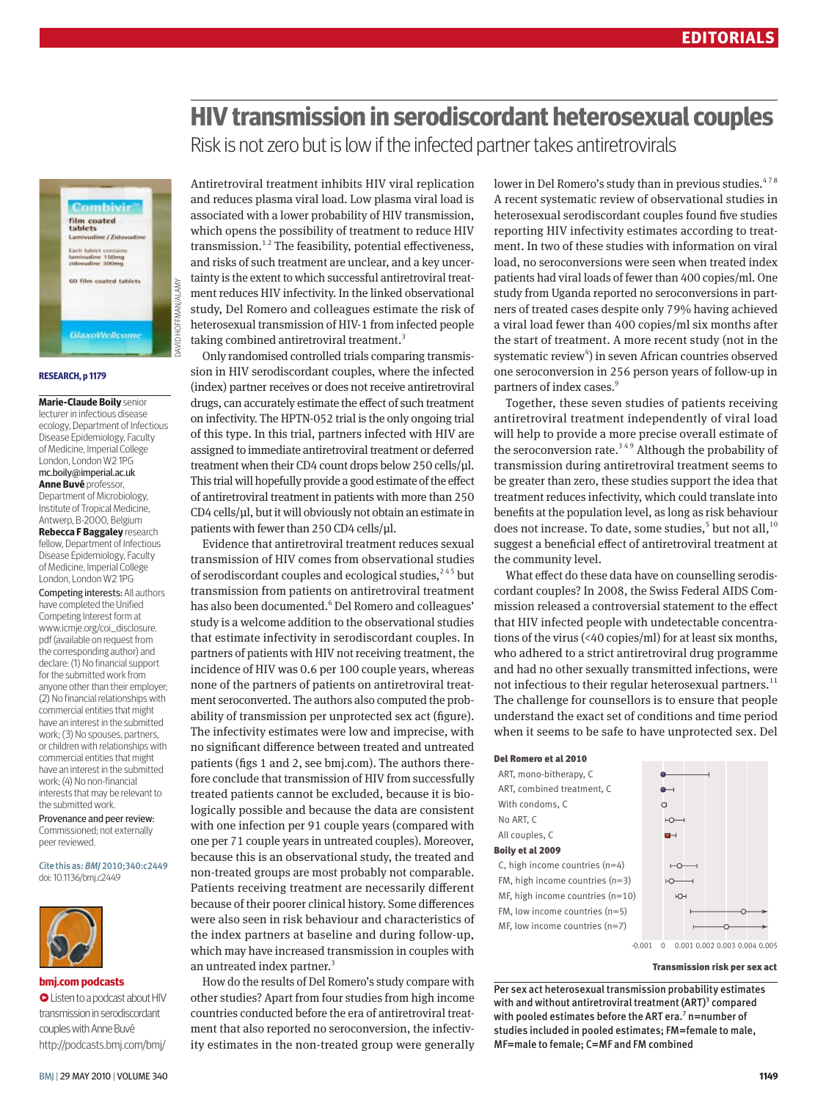# **HIV transmission in serodiscordant heterosexual couples** Risk is not zero but is low if the infected partner takes antiretrovirals



david hoffman/alamy

#### **research, p 1179**

**Marie-Claude Boily** senior lecturer in infectious disease ecology, Department of Infectious Disease Epidemiology, Faculty of Medicine, Imperial College London, London W2 1PG mc.boily@imperial.ac.uk **Anne Buvé** professor, Department of Microbiology, Institute of Tropical Medicine, Antwerp, B-2000, Belgium **Rebecca F Baggaley** research fellow, Department of Infectious Disease Epidemiology, Faculty of Medicine, Imperial College London, London W2 1PG Competing interests: All authors have completed the Unified Competing Interest form at www.icmje.org/coi\_disclosure. pdf (available on request from the corresponding author) and declare: (1) No financial support for the submitted work from anyone other than their employer; (2) No financial relationships with commercial entities that might have an interest in the submitted work; (3) No spouses, partners, or children with relationships with commercial entities that might have an interest in the submitted work; (4) No non-financial interests that may be relevant to

Provenance and peer review: Commissioned; not externally peer reviewed.

### Cite this as: *BMJ* 2010;340:c2449

doi: 10.1136/bmj.c2449

the submitted work.



#### **bmj.com podcasts**

•Listen to a podcast about HIV transmission in serodiscordant couples with Anne Buvé http://podcasts.bmj.com/bmj/ Antiretroviral treatment inhibits HIV viral replication and reduces plasma viral load. Low plasma viral load is associated with a lower probability of HIV transmission, which opens the possibility of treatment to reduce HIV transmission.<sup>12</sup> The feasibility, potential effectiveness, and risks of such treatment are unclear, and a key uncertainty is the extent to which successful antiretroviral treatment reduces HIV infectivity. In the linked observational study, Del Romero and colleagues estimate the risk of heterosexual transmission of HIV-1 from infected people taking combined antiretroviral treatment.<sup>3</sup>

Only randomised controlled trials comparing transmission in HIV serodiscordant couples, where the infected (index) partner receives or does not receive antiretroviral drugs, can accurately estimate the effect of such treatment on infectivity. The HPTN-052 trial is the only ongoing trial of this type. In this trial, partners infected with HIV are assigned to immediate antiretroviral treatment or deferred treatment when their CD4 count drops below 250 cells/μl. This trial will hopefully provide a good estimate of the effect of antiretroviral treatment in patients with more than 250 CD4 cells/μl, but it will obviously not obtain an estimate in patients with fewer than 250 CD4 cells/μl.

Evidence that antiretroviral treatment reduces sexual transmission of HIV comes from observational studies of serodiscordant couples and ecological studies,<sup>245</sup> but transmission from patients on antiretroviral treatment has also been documented.<sup>6</sup> Del Romero and colleagues' study is a welcome addition to the observational studies that estimate infectivity in serodiscordant couples. In partners of patients with HIV not receiving treatment, the incidence of HIV was 0.6 per 100 couple years, whereas none of the partners of patients on antiretroviral treatment seroconverted. The authors also computed the probability of transmission per unprotected sex act (figure). The infectivity estimates were low and imprecise, with no significant difference between treated and untreated patients (figs 1 and 2, see bmj.com). The authors therefore conclude that transmission of HIV from successfully treated patients cannot be excluded, because it is biologically possible and because the data are consistent with one infection per 91 couple years (compared with one per 71 couple years in untreated couples). Moreover, because this is an observational study, the treated and non-treated groups are most probably not comparable. Patients receiving treatment are necessarily different because of their poorer clinical history. Some differences were also seen in risk behaviour and characteristics of the index partners at baseline and during follow-up, which may have increased transmission in couples with an untreated index partner.<sup>3</sup>

How do the results of Del Romero's study compare with other studies? Apart from four studies from high income countries conducted before the era of antiretroviral treatment that also reported no seroconversion, the infectivity estimates in the non-treated group were generally lower in Del Romero's study than in previous studies. $478$ A recent systematic review of observational studies in heterosexual serodiscordant couples found five studies reporting HIV infectivity estimates according to treatment. In two of these studies with information on viral load, no seroconversions were seen when treated index patients had viral loads of fewer than 400 copies/ml. One study from Uganda reported no seroconversions in partners of treated cases despite only 79% having achieved a viral load fewer than 400 copies/ml six months after the start of treatment. A more recent study (not in the systematic review<sup>4</sup>) in seven African countries observed one seroconversion in 256 person years of follow-up in partners of index cases.<sup>9</sup>

Together, these seven studies of patients receiving antiretroviral treatment independently of viral load will help to provide a more precise overall estimate of the seroconversion rate.<sup>349</sup> Although the probability of transmission during antiretroviral treatment seems to be greater than zero, these studies support the idea that treatment reduces infectivity, which could translate into benefits at the population level, as long as risk behaviour does not increase. To date, some studies, $5$  but not all,  $^{10}$ suggest a beneficial effect of antiretroviral treatment at the community level.

What effect do these data have on counselling serodiscordant couples? In 2008, the Swiss Federal AIDS Commission released a controversial statement to the effect that HIV infected people with undetectable concentrations of the virus (<40 copies/ml) for at least six months, who adhered to a strict antiretroviral drug programme and had no other sexually transmitted infections, were not infectious to their regular heterosexual partners. $^{11}$ The challenge for counsellors is to ensure that people understand the exact set of conditions and time period when it seems to be safe to have unprotected sex. Del

#### Del Romero et al 2010

| ART, mono-bitherapy, C             |
|------------------------------------|
| ART, combined treatment, C         |
| With condoms, C                    |
| No ART. C                          |
| All couples, C                     |
| Boily et al 2009                   |
| C, high income countries $(n=4)$   |
| FM, high income countries $(n=3)$  |
| MF, high income countries $(n=10)$ |
| FM, low income countries $(n=5)$   |
| MF, low income countries $(n=7)$   |



Transmission risk per sex act

Per sex act heterosexual transmission probability estimates with and without antiretroviral treatment  $(ART)^3$  compared with pooled estimates before the ART era.<sup>7</sup> n=number of studies included in pooled estimates; FM=female to male, MF=male to female; C=MF and FM combined